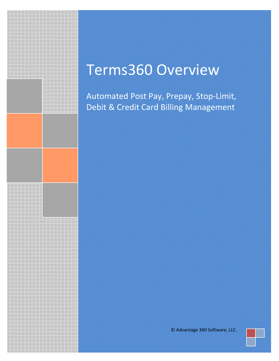

# Terms360 Overview

Automated Post Pay, Prepay, Stop-Limit, Debit & Credit Card Billing Management

© Advantage 360 Software, LLC.

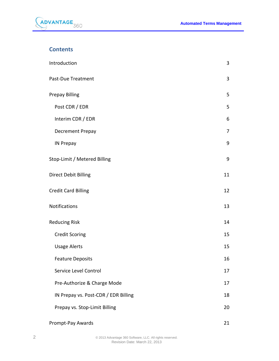

## **Contents**

| Introduction                         | 3  |
|--------------------------------------|----|
| Past-Due Treatment                   | 3  |
| <b>Prepay Billing</b>                | 5  |
| Post CDR / EDR                       | 5  |
| Interim CDR / EDR                    | 6  |
| Decrement Prepay                     | 7  |
| <b>IN Prepay</b>                     | 9  |
| Stop-Limit / Metered Billing         | 9  |
| <b>Direct Debit Billing</b>          | 11 |
| <b>Credit Card Billing</b>           | 12 |
| <b>Notifications</b>                 | 13 |
| <b>Reducing Risk</b>                 | 14 |
| <b>Credit Scoring</b>                | 15 |
| <b>Usage Alerts</b>                  | 15 |
| <b>Feature Deposits</b>              | 16 |
| Service Level Control                | 17 |
| Pre-Authorize & Charge Mode          | 17 |
| IN Prepay vs. Post-CDR / EDR Billing | 18 |
| Prepay vs. Stop-Limit Billing        | 20 |
| Prompt-Pay Awards                    | 21 |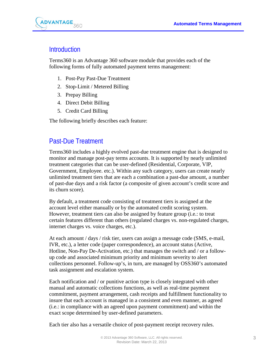

# <span id="page-2-0"></span>**Introduction**

Terms360 is an Advantage 360 software module that provides each of the following forms of fully automated payment terms management:

- 1. Post-Pay Past-Due Treatment
- 2. Stop-Limit / Metered Billing
- 3. Prepay Billing
- 4. Direct Debit Billing
- 5. Credit Card Billing

<span id="page-2-1"></span>The following briefly describes each feature:

# Past-Due Treatment

Terms360 includes a highly evolved past-due treatment engine that is designed to monitor and manage post-pay terms accounts. It is supported by nearly unlimited treatment categories that can be user-defined (Residential, Corporate, VIP, Government, Employee. etc.). Within any such category, users can create nearly unlimited treatment tiers that are each a combination a past-due amount, a number of past-due days and a risk factor (a composite of given account's credit score and its churn score).

By default, a treatment code consisting of treatment tiers is assigned at the account level either manually or by the automated credit scoring system. However, treatment tiers can also be assigned by feature group (i.e.: to treat certain features different than others (regulated charges vs. non-regulated charges, internet charges vs. voice charges, etc.).

At each amount / days / risk tier, users can assign a message code (SMS, e-mail, IVR, etc.), a letter code (paper correspondence), an account status (Active, Hotline, Non-Pay De-Activation, etc.) that manages the switch and / or a followup code and associated minimum priority and minimum severity to alert collections personnel. Follow-up's, in turn, are managed by OSS360's automated task assignment and escalation system.

Each notification and / or punitive action type is closely integrated with other manual and automatic collections functions, as well as real-time payment commitment, payment arrangement, cash receipts and fulfillment functionality to insure that each account is managed in a consistent and even manner, as agreed (i.e.: in compliance with an agreed upon payment commitment) and within the exact scope determined by user-defined parameters.

Each tier also has a versatile choice of post-payment receipt recovery rules.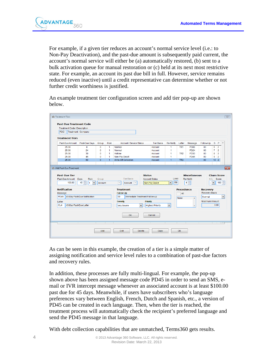

For example, if a given tier reduces an account's normal service level (i.e.: to Non-Pay Deactivation), and the past-due amount is subsequently paid current, the account's normal service will either be (a) automatically restored, (b) sent to a bulk activation queue for manual restoration or (c) held at its next most restrictive state. For example, an account its past due bill in full. However, service remains reduced (even inactive) until a credit representative can determine whether or not further credit worthiness is justified.

An example treatment tier configuration screen and add tier pop-up are shown below.

| <b>PDC</b>                                                                                         | Treatment - Company                                         |                  |             |                                                          |                                                         |                                                 |                   |                                             |                       |                                         |                |                      |
|----------------------------------------------------------------------------------------------------|-------------------------------------------------------------|------------------|-------------|----------------------------------------------------------|---------------------------------------------------------|-------------------------------------------------|-------------------|---------------------------------------------|-----------------------|-----------------------------------------|----------------|----------------------|
|                                                                                                    |                                                             |                  |             |                                                          |                                                         |                                                 |                   |                                             |                       |                                         |                |                      |
| <b>Treatment Tiers</b>                                                                             |                                                             |                  |             |                                                          |                                                         |                                                 |                   |                                             |                       |                                         |                |                      |
| Past-Due Amount                                                                                    | Past-Due Days                                               | Group            | <b>Risk</b> | <b>Account / Service Status</b>                          | <b>Tier Basis</b>                                       | <b>Re-Notify</b>                                | Letter            | Message                                     | Follow-Up             | s                                       | P              | $\blacktriangle$     |
| 25.00                                                                                              | 8                                                           | 0                | 1           | Normal                                                   | Account                                                 | 1                                               | TR <sub>1</sub>   | <b>PD08</b>                                 | 00                    | 6                                       | $\overline{2}$ |                      |
| 25.00                                                                                              | 24                                                          | $\mathbf 0$      | 1           | Normal                                                   | Account                                                 | $\mathbf{1}$                                    |                   | <b>PD24</b>                                 | 00 <sup>2</sup>       | $\overline{7}$                          | $\overline{2}$ |                      |
| 25.00                                                                                              | 30                                                          | 0                | 1           | Hotline                                                  | Account                                                 | $\mathbf{1}$                                    | TR <sub>2</sub>   | <b>PD30</b>                                 | 00                    | 8                                       | $\overline{2}$ |                      |
| 25.00                                                                                              | 45                                                          | $\mathbf{0}$     | 1           | Non-Pay Deact                                            | Account                                                 | $\mathbf{1}$                                    |                   | <b>PD45</b>                                 | 00                    | 9                                       | $\overline{c}$ |                      |
| 25.00                                                                                              | 60                                                          | $\mathbf{0}$     | 1           | Write-Off Collection                                     | Account                                                 | $\overline{1}$                                  | TR <sub>3</sub>   |                                             | 00                    | $10 \mid 2$                             |                |                      |
| 100.00                                                                                             | <b>Risk</b><br>Days<br>÷<br>45<br>1<br>$\blacktriangledown$ | Group<br>Account |             | <b>Tier Basis</b><br>$\overline{\phantom{a}}$<br>Account | <b>Status</b><br><b>Account Status</b><br>Non-Pay Deact | Level<br>R <sub>9</sub><br>$\blacktriangledown$ |                   | <b>Miscellaneous</b><br>Re-Notify<br>÷<br>4 | ٠                     | <b>Churn Score</b><br>$+1 -$ Score<br>۰ | $100 \div$     |                      |
| <b>18 Add Past-Due Treatment</b><br><b>Past-Due Tier</b><br>Past-Due Amount<br><b>Notification</b> |                                                             |                  |             | <b>Treatment</b>                                         |                                                         |                                                 | <b>Precedence</b> |                                             | <b>Recovery</b>       |                                         |                |                      |
| Message                                                                                            |                                                             |                  |             | <b>Follow-Up</b>                                         |                                                         |                                                 | All               |                                             | <b>Recovery Basis</b> |                                         |                |                      |
| <b>PD45</b>                                                                                        | 45-Day Past-Due Notification                                |                  |             | 00<br>Immediate Treatment Follow-up                      |                                                         |                                                 |                   | $\blacktriangle$                            | Normal                |                                         |                |                      |
| Letter                                                                                             |                                                             |                  |             | <b>Severity</b>                                          | <b>Priority</b>                                         |                                                 | None              |                                             | <b>Maximum Amount</b> |                                         |                |                      |
| CL <sub>4</sub><br>45-Day Past-Due Letter                                                          |                                                             |                  |             | $\blacktriangledown$                                     | <b>Highest Priority</b>                                 | $\blacktriangledown$                            |                   | ٠                                           |                       | 0.00                                    |                | $\blacktriangledown$ |
|                                                                                                    |                                                             |                  |             | Very Severe                                              |                                                         |                                                 |                   |                                             |                       |                                         |                |                      |
|                                                                                                    |                                                             |                  |             |                                                          |                                                         |                                                 |                   |                                             |                       |                                         |                |                      |
|                                                                                                    |                                                             |                  |             | OK                                                       | Cancel                                                  |                                                 |                   |                                             |                       |                                         |                |                      |

As can be seen in this example, the creation of a tier is a simple matter of assigning notification and service level rules to a combination of past-due factors and recovery rules.

In addition, these processes are fully multi-lingual. For example, the pop-up shown above has been assigned message code PD45 in order to send an SMS, email or IVR intercept message whenever an associated account is at least \$100.00 past due for 45 days. Meanwhile, if users have subscribers who's language preferences vary between English, French, Dutch and Spanish, etc., a version of PD45 can be created in each language. Then, when the tier is reached, the treatment process will automatically check the recipient's preferred language and send the PD45 message in that language.

With debt collection capabilities that are unmatched, Terms360 gets results.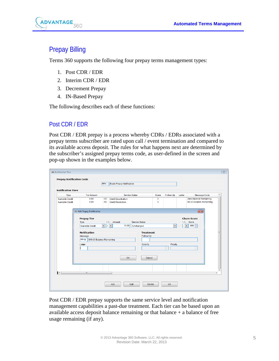

# <span id="page-4-0"></span>Prepay Billing

Terms 360 supports the following four prepay terms management types:

- 1. Post CDR / EDR
- 2. Interim CDR / EDR
- 3. Decrement Prepay
- 4. IN-Based Prepay

The following describes each of these functions:

#### <span id="page-4-1"></span>Post CDR / EDR

Post CDR / EDR prepay is a process whereby CDRs / EDRs associated with a prepay terms subscriber are rated upon call / event termination and compared to its available access deposit. The rules for what happens next are determined by the subscriber's assigned prepay terms code, as user-defined in the screen and pop-up shown in the examples below.

|                                             |                                                                  | PP <sub>1</sub>             | <b>Basic Prepay Notification</b>                        |                                        |                                      |        |                                                    |
|---------------------------------------------|------------------------------------------------------------------|-----------------------------|---------------------------------------------------------|----------------------------------------|--------------------------------------|--------|----------------------------------------------------|
| <b>Notification Tiers</b>                   |                                                                  |                             |                                                         |                                        |                                      |        |                                                    |
| Type                                        | <b>Tier Amount</b>                                               | Service Status              |                                                         | Score                                  | Follow-Up                            | Letter | Message Code                                       |
| <b>Available Credit</b><br>Available Credit | 0.00<br>5.00                                                     | <b>DC</b><br>RC             | <b>Credit Deactivation</b><br><b>Credit Restriction</b> | $\overline{\mathbf{0}}$<br>$\mathbf 0$ |                                      |        | Zero Balance Remaining<br>\$5.00 Balance Remaining |
|                                             | Add Prepay Notification                                          |                             |                                                         |                                        |                                      |        | $\overline{\mathbf{x}}$                            |
|                                             | <b>Prepay Tier</b>                                               |                             |                                                         |                                        |                                      |        | <b>Churn Score</b>                                 |
|                                             | Type                                                             |                             | <b>Service Status</b><br>Amount<br>$+1-$                |                                        |                                      |        | $+1 -$ Score                                       |
|                                             | <b>Available Credit</b>                                          | $\blacktriangledown$<br>l+. | 10.00<br>$\overline{\phantom{a}}$<br>Unchanged          |                                        | $\blacktriangledown$                 |        | $000 \div$<br>$\blacktriangledown$                 |
|                                             | <b>Notification</b><br>Message<br>PP10 \$10.00 Balance Remaining |                             | <b>Treatment</b><br>Follow-Up                           |                                        |                                      |        |                                                    |
|                                             | Letter                                                           |                             | Severity                                                |                                        | Priority<br>$\overline{\phantom{a}}$ |        | $\overline{\phantom{a}}$                           |
|                                             |                                                                  |                             | OK<br>Cancel                                            |                                        |                                      |        |                                                    |
| $\vert \cdot \vert$                         | m.                                                               |                             |                                                         |                                        |                                      |        |                                                    |

Post CDR / EDR prepay supports the same service level and notification management capabilities a past-due treatment. Each tier can be based upon an available access deposit balance remaining or that balance  $+$  a balance of free usage remaining (if any).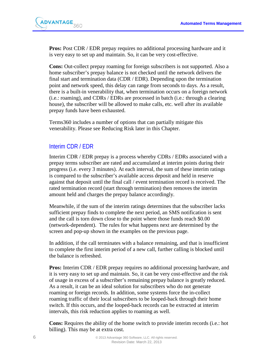

**Pros:** Post CDR / EDR prepay requires no additional processing hardware and it is very easy to set up and maintain. So, it can be very cost-effective.

**Cons:** Out-collect prepay roaming for foreign subscribers is not supported. Also a home subscriber's prepay balance is not checked until the network delivers the final start and termination data (CDR / EDR). Depending upon the termination point and network speed, this delay can range from seconds to days. As a result, there is a built-in venerability that, when termination occurs on a foreign network (i.e.: roaming), and CDRs / EDRs are processed in batch (i.e.: through a clearing house), the subscriber will be allowed to make calls, etc. well after its available prepay funds have been exhausted.

Terms360 includes a number of options that can partially mitigate this venerability. Please see Reducing Risk later in this Chapter.

#### <span id="page-5-0"></span>Interim CDR / EDR

Interim CDR / EDR prepay is a process whereby CDRs / EDRs associated with a prepay terms subscriber are rated and accumulated at interim points during their progress (i.e. every 3 minutes). At each interval, the sum of these interim ratings is compared to the subscriber's available access deposit and held in reserve against that deposit until the final call / event termination record is received. The rated termination record (start through termination) then removes the interim amount held and charges the prepay balance accordingly.

Meanwhile, if the sum of the interim ratings determines that the subscriber lacks sufficient prepay finds to complete the next period, an SMS notification is sent and the call is torn down close to the point where those funds reach \$0.00 (network-dependent). The rules for what happens next are determined by the screen and pop-up shown in the examples on the previous page.

In addition, if the call terminates with a balance remaining, and that is insufficient to complete the first interim period of a new call, further calling is blocked until the balance is refreshed.

**Pros:** Interim CDR / EDR prepay requires no additional processing hardware, and it is very easy to set up and maintain. So, it can be very cost-effective and the risk of usage in excess of a subscriber's remaining prepay balance is greatly reduced. As a result, it can be an ideal solution for subscribers who do not generate roaming or foreign records. In addition, some systems force the in-collect roaming traffic of their local subscribers to be looped-back through their home switch. If this occurs, and the looped-back records can be extracted at interim intervals, this risk reduction applies to roaming as well.

**Cons:** Requires the ability of the home switch to provide interim records (i.e.: hot billing). This may be at extra cost.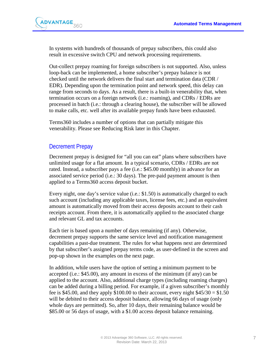

In systems with hundreds of thousands of prepay subscribers, this could also result in excessive switch CPU and network processing requirements.

Out-collect prepay roaming for foreign subscribers is not supported. Also, unless loop-back can be implemented, a home subscriber's prepay balance is not checked until the network delivers the final start and termination data (CDR / EDR). Depending upon the termination point and network speed, this delay can range from seconds to days. As a result, there is a built-in venerability that, when termination occurs on a foreign network (i.e.: roaming), and CDRs / EDRs are processed in batch (i.e.: through a clearing house), the subscriber will be allowed to make calls, etc. well after its available prepay funds have been exhausted.

Terms360 includes a number of options that can partially mitigate this venerability. Please see Reducing Risk later in this Chapter.

#### <span id="page-6-0"></span>Decrement Prepay

Decrement prepay is designed for "all you can eat" plans where subscribers have unlimited usage for a flat amount. In a typical scenario, CDRs / EDRs are not rated. Instead, a subscriber pays a fee (i.e.: \$45.00 monthly) in advance for an associated service period (i.e.: 30 days). The pre-paid payment amount is then applied to a Terms360 access deposit bucket.

Every night, one day's service value (i.e.: \$1.50) is automatically charged to each such account (including any applicable taxes, license fees, etc.) and an equivalent amount is automatically moved from their access deposits account to their cash receipts account. From there, it is automatically applied to the associated charge and relevant GL and tax accounts.

Each tier is based upon a number of days remaining (if any). Otherwise, decrement prepay supports the same service level and notification management capabilities a past-due treatment. The rules for what happens next are determined by that subscriber's assigned prepay terms code, as user-defined in the screen and pop-up shown in the examples on the next page.

In addition, while users have the option of setting a minimum payment to be accepted (i.e.: \$45.00), any amount in excess of the minimum (if any) can be applied to the account. Also, additional charge types (including roaming charges) can be added during a billing period. For example, if a given subscriber's monthly fee is \$45.00, and they apply \$100.00 to their account, every night  $$45/30 = $1.50$ will be debited to their access deposit balance, allowing 66 days of usage (only whole days are permitted). So, after 10 days, their remaining balance would be \$85.00 or 56 days of usage, with a \$1.00 access deposit balance remaining.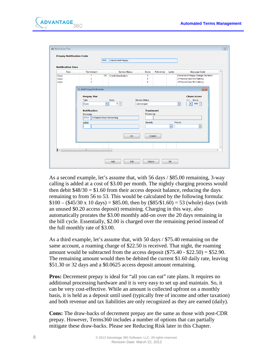

|                           | <b>PPD</b>                                                                                                                                 | Decrement Prepay                                   |                                                     |           |                      |                                                                                                                                            |
|---------------------------|--------------------------------------------------------------------------------------------------------------------------------------------|----------------------------------------------------|-----------------------------------------------------|-----------|----------------------|--------------------------------------------------------------------------------------------------------------------------------------------|
| <b>Notification Tiers</b> |                                                                                                                                            |                                                    |                                                     |           |                      |                                                                                                                                            |
| Type                      | <b>Tier Amount</b>                                                                                                                         | Service Status                                     | Score                                               | Follow-Up | Letter               | Message Code                                                                                                                               |
| Days<br>Days<br>Days      | <b>DC</b><br>1.<br>$\overline{2}$<br>3                                                                                                     | <b>Credit Deactivation</b>                         | 0<br>$\mathbf 0$<br>$\mathbf 0$                     |           |                      | Decrement Prepay Charge Declined<br>2 Prepaid Days Remaining<br>3 Prepaid Days Remaining                                                   |
|                           | Add Prepay Notification                                                                                                                    |                                                    |                                                     |           |                      | $-x$                                                                                                                                       |
|                           | <b>Prepay Tier</b><br>Type<br>$\blacktriangledown$<br>Days<br><b>Notification</b><br>Message<br>5 Prepaid Days Remaining<br>DP05<br>Letter | Days<br>Service Status<br>$5 -$<br>Unchanged<br>OK | <b>Treatment</b><br>Follow-Up<br>Severity<br>Cancel |           | $\blacktriangledown$ | <b>Churn Score</b><br>$+1 -$ Score<br>$000 \div$<br>$\blacktriangledown$<br>$\blacktriangledown$<br>ä,<br>Priority<br>$\blacktriangledown$ |
| $\vert \vert \vert$       | $\mathbf{H}$ .                                                                                                                             |                                                    |                                                     |           |                      | ×.                                                                                                                                         |

As a second example, let's assume that, with 56 days / \$85.00 remaining, 3-way calling is added at a cost of \$3.00 per month. The nightly charging process would then debit  $$48/30 = $1.60$  from their access deposit balance, reducing the days remaining to from 56 to 53. This would be calculated by the following formula:  $$100 - ($45/30 \text{ x } 10 \text{ days}) = $85.00$ , then by  $($85/$1.60) = 53$  (whole) days (with an unused \$0.20 access deposit) remaining. Charging in this way, also automatically prorates the \$3.00 monthly add-on over the 20 days remaining in the bill cycle. Essentially, \$2.00 is charged over the remaining period instead of the full monthly rate of \$3.00.

As a third example, let's assume that, with 50 days / \$75.40 remaining on the same account, a roaming charge of \$22.50 is received. That night, the roaming amount would be subtracted from the access deposit  $(\$75.40 - \$22.50) = \$52.90$ . The remaining amount would then be debited the current \$1.60 daily rate, leaving \$51.30 or 32 days and a \$0.0625 access deposit amount remaining.

Pros: Decrement prepay is ideal for "all you can eat" rate plans. It requires no additional processing hardware and it is very easy to set up and maintain. So, it can be very cost-effective. While an amount is collected upfront on a monthly basis, it is held as a deposit until used (typically free of income and other taxation) and both revenue and tax liabilities are only recognized as they are earned (daily).

**Cons:** The draw-backs of decrement prepay are the same as those with post-CDR prepay. However, Terms360 includes a number of options that can partially mitigate these draw-backs. Please see Reducing Risk later in this Chapter.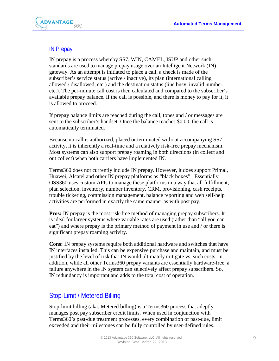

## <span id="page-8-0"></span>IN Prepay

IN prepay is a process whereby SS7, WIN, CAMEL, ISUP and other such standards are used to manage prepay usage over an Intelligent Network (IN) gateway. As an attempt is initiated to place a call, a check is made of the subscriber's service status (active / inactive), its plan (international calling allowed / disallowed, etc.) and the destination status (line busy, invalid number, etc.). The per-minute call cost is then calculated and compared to the subscriber's available prepay balance. If the call is possible, and there is money to pay for it, it is allowed to proceed.

If prepay balance limits are reached during the call, tones and / or messages are sent to the subscriber's handset. Once the balance reaches \$0.00, the call is automatically terminated.

Because no call is authorized, placed or terminated without accompanying SS7 activity, it is inherently a real-time and a relatively risk-free prepay mechanism. Most systems can also support prepay roaming in both directions (in collect and out collect) when both carriers have implemented IN.

Terms360 does not currently include IN prepay. However, it does support Primal, Huawei, Alcatel and other IN prepay platforms as "black boxes". Essentially, OSS360 uses custom APIs to manage these platforms in a way that all fulfillment, plan selection, inventory, number inventory, CRM, provisioning, cash receipts, trouble ticketing, commission management, balance reporting and web self-help activities are performed in exactly the same manner as with post pay.

**Pros:** IN prepay is the most risk-free method of managing prepay subscribers. It is ideal for larger systems where variable rates are used (rather than "all you can eat") and where prepay is the primary method of payment in use and / or there is significant prepay roaming activity.

**Cons:** IN prepay systems require both additional hardware and switches that have IN interfaces installed. This can be expensive purchase and maintain, and must be justified by the level of risk that IN would ultimately mitigate vs. such costs. In addition, while all other Terms360 prepay variants are essentially hardware-free, a failure anywhere in the IN system can selectively affect prepay subscribers. So, IN redundancy is important and adds to the total cost of operation.

## <span id="page-8-1"></span>Stop-Limit / Metered Billing

Stop-limit billing (aka: Metered billing) is a Terms360 process that adeptly manages post pay subscriber credit limits. When used in conjunction with Terms360's past-due treatment processes, every combination of past-due, limit exceeded and their milestones can be fully controlled by user-defined rules.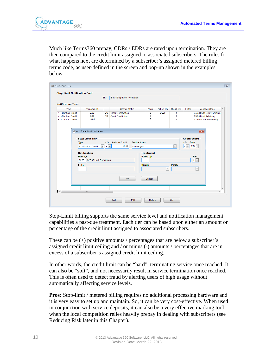

Much like Terms360 prepay, CDRs / EDRs are rated upon termination. They are then compared to the credit limit assigned to associated subscribers. The rules for what happens next are determined by a subscriber's assigned metered billing terms code, as user-defined in the screen and pop-up shown in the examples below.

|                                                                               |                                                                                                                                                                                     | SL <sub>1</sub>        | Basic Stop-Limit Notification                           |                                                       |                                                    |                               |                                         |                                                               |                                                                                                  |
|-------------------------------------------------------------------------------|-------------------------------------------------------------------------------------------------------------------------------------------------------------------------------------|------------------------|---------------------------------------------------------|-------------------------------------------------------|----------------------------------------------------|-------------------------------|-----------------------------------------|---------------------------------------------------------------|--------------------------------------------------------------------------------------------------|
| <b>Notification Tiers</b>                                                     | <b>Tier Amount</b>                                                                                                                                                                  |                        | <b>Service Status</b>                                   |                                                       |                                                    |                               |                                         |                                                               | ▲                                                                                                |
| Type<br>+ / - Contract Credit<br>+ / - Contract Credit<br>+/- Contract Credit | 0.00<br>5.00<br>10.00                                                                                                                                                               | <b>DC</b><br><b>RC</b> | <b>Credit Deactivation</b><br><b>Credit Restriction</b> |                                                       | Score<br>$\mathbf 0$<br>$\mathbf 0$<br>$\mathbf 0$ | Follow-Up<br>CL <sub>00</sub> | <b>Risk Level</b><br>1<br>1<br>1        | Letter                                                        | Message Code<br>Zero Credit Limit Remaining<br>\$5.00 Limit Relaining<br>\$10.00 Limit Remaining |
|                                                                               | <b>Stop Limit Tier</b><br><b>Type</b><br>$\blacktriangledown$<br>+ / - Contract Credit<br><b>Notification</b><br><b>Message</b><br>\$25.00 Limit Remaining<br><b>SL25</b><br>Letter | $+1-$<br>$ + +$        | <b>Available Credit</b><br>25.00                        | <b>Service Status</b><br>Unchanged<br><b>Severity</b> | <b>Treatment</b><br><b>Follow-Up</b>               | $\overline{\phantom{a}}$      | $\blacktriangledown$<br><b>Priority</b> | <b>Churn Score</b><br>+/- Score<br>$\blacktriangledown$<br>×. | $ 000\rangle \div$<br><b>Risk</b><br>$1 -$<br>$\bar{\psi}$                                       |
|                                                                               |                                                                                                                                                                                     |                        | OK                                                      |                                                       | Cancel                                             |                               |                                         |                                                               |                                                                                                  |

Stop-Limit billing supports the same service level and notification management capabilities a past-due treatment. Each tier can be based upon either an amount or percentage of the credit limit assigned to associated subscribers.

These can be (+) positive amounts / percentages that are below a subscriber's assigned credit limit ceiling and / or minus (-) amounts / percentages that are in excess of a subscriber's assigned credit limit ceiling.

In other words, the credit limit can be "hard", terminating service once reached. It can also be "soft", and not necessarily result in service termination once reached. This is often used to detect fraud by alerting users of high usage without automatically affecting service levels.

**Pros:** Stop-limit / metered billing requires no additional processing hardware and it is very easy to set up and maintain. So, it can be very cost-effective. When used in conjunction with service deposits, it can also be a very effective marking tool when the local competition relies heavily prepay in dealing with subscribers (see Reducing Risk later in this Chapter).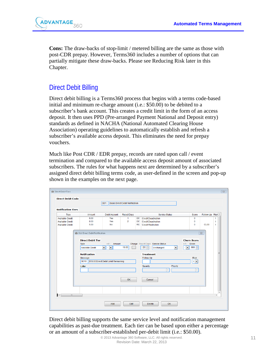

**Cons:** The draw-backs of stop-limit / metered billing are the same as those with post-CDR prepay. However, Terms360 includes a number of options that can partially mitigate these draw-backs. Please see Reducing Risk later in this Chapter.

## <span id="page-10-0"></span>Direct Debit Billing

Direct debit billing is a Terms360 process that begins with a terms code-based initial and minimum re-charge amount (i.e.: \$50.00) to be debited to a subscriber's bank account. This creates a credit limit in the form of an access deposit. It then uses PPD (Pre-arranged Payment National and Deposit entry) standards as defined in NACHA (National Automated Clearing House Association) operating guidelines to automatically establish and refresh a subscriber's available access deposit. This eliminates the need for prepay vouchers.

Much like Post CDR / EDR prepay, records are rated upon call / event termination and compared to the available access deposit amount of associated subscribers. The rules for what happens next are determined by a subscriber's assigned direct debit billing terms code, as user-defined in the screen and pop-up shown in the examples on the next page.

|                           |                                          | DD <sub>1</sub>                   | Basic Direct Debit Notification |           |                                                                                      |                          |                     |              |
|---------------------------|------------------------------------------|-----------------------------------|---------------------------------|-----------|--------------------------------------------------------------------------------------|--------------------------|---------------------|--------------|
| <b>Notification Tiers</b> |                                          |                                   |                                 |           |                                                                                      |                          |                     |              |
| Type                      | Amount                                   | <b>DebitAccount</b>               | <b>Reject Days</b>              |           | <b>Service Status</b>                                                                | Score                    | Follow-Up Risk ^    |              |
| Available Credit          | 0.00                                     | <b>Yes</b>                        | $\blacksquare$                  | <b>DC</b> | <b>Credit Deactivation</b>                                                           | $\mathbf 0$              |                     | 1            |
| <b>Available Credit</b>   | 0.00                                     | Yes                               | 2                               | DC        | <b>Credit Deactivation</b>                                                           | 0                        |                     | 1            |
| Available Credit          | 5.00                                     | <b>No</b>                         |                                 | <b>RC</b> | <b>Credit Restriction</b>                                                            | $\Omega$                 | CL <sub>00</sub>    | $\mathbf{1}$ |
|                           |                                          |                                   |                                 |           |                                                                                      |                          |                     |              |
|                           | <b>3</b> Add Direct Debit Notification   |                                   |                                 |           |                                                                                      |                          | $\overline{\Sigma}$ |              |
|                           | <b>Direct Debit Tier</b>                 |                                   |                                 |           |                                                                                      | <b>Churn Score</b>       |                     |              |
|                           | Type                                     | Amount<br>$+1$ -                  |                                 |           | Charge Reject Days Service Status                                                    | $+1$ - Score             |                     |              |
|                           | Available Credit                         | $\blacktriangledown$<br>∣▼<br>I÷. | 10.00                           |           | $01 \div$<br>$\overline{\phantom{a}}$<br>Unchanged<br>$\overline{\phantom{a}}$<br>ı. | $000 -$                  |                     |              |
|                           |                                          |                                   |                                 |           |                                                                                      |                          |                     |              |
|                           |                                          |                                   |                                 |           |                                                                                      |                          |                     |              |
|                           | <b>Notification</b>                      |                                   |                                 |           | <b>Treatment</b>                                                                     |                          |                     | Е            |
|                           | Message                                  |                                   |                                 |           | Follow-Up                                                                            | <b>Risk</b>              |                     |              |
|                           | DD10 S10.00 Direct Debit Limit Remaining |                                   |                                 |           |                                                                                      | $1 -$                    |                     |              |
|                           | Letter                                   |                                   |                                 |           | Severity<br>Priority                                                                 |                          |                     |              |
|                           |                                          |                                   |                                 |           | $\mathbf{v}$                                                                         | $\overline{\phantom{a}}$ |                     |              |
|                           |                                          |                                   |                                 |           |                                                                                      |                          |                     |              |
|                           |                                          |                                   |                                 |           |                                                                                      |                          |                     |              |
|                           |                                          |                                   | OK                              |           | Cancel                                                                               |                          |                     |              |
|                           |                                          |                                   |                                 |           |                                                                                      |                          |                     |              |
|                           |                                          |                                   |                                 |           |                                                                                      |                          |                     |              |
|                           |                                          |                                   |                                 |           |                                                                                      |                          |                     |              |

Direct debit billing supports the same service level and notification management capabilities as past-due treatment. Each tier can be based upon either a percentage or an amount of a subscriber-established per-debit limit (i.e.: \$50.00).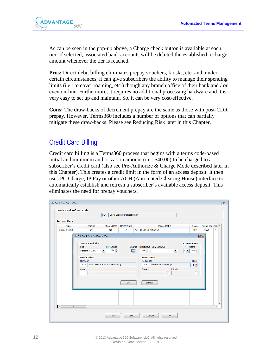

As can be seen in the pop-up above, a Charge check button is available at each tier. If selected, associated bank accounts will be debited the established recharge amount whenever the tier is reached.

**Pros:** Direct debit billing eliminates prepay vouchers, kiosks, etc. and, under certain circumstances, it can give subscribers the ability to manage their spending limits (i.e.: to cover roaming, etc.) though any branch office of their bank and / or even on-line. Furthermore, it requires no additional processing hardware and it is very easy to set up and maintain. So, it can be very cost-effective.

**Cons:** The draw-backs of decrement prepay are the same as those with post-CDR prepay. However, Terms360 includes a number of options that can partially mitigate these draw-backs. Please see Reducing Risk later in this Chapter.

## <span id="page-11-0"></span>Credit Card Billing

Credit card billing is a Terms360 process that begins with a terms code-based initial and minimum authorization amount (i.e.: \$40.00) to be charged to a subscriber's credit card (also see Pre-Authorize & Charge Mode described later in this Chapter). This creates a credit limit in the form of an access deposit. It then uses PC Charge, IP Pay or other ACH (Automated Clearing House) interface to automatically establish and refresh a subscriber's available access deposit. This eliminates the need for prepay vouchers.

| <b>Refresh Tiers</b><br>Type | Amount                                      | Charge Card                                          | <b>Reject Days</b> |           | Service Status                                                      | Score                                                               | Follow-Up Risk ^ |                          |
|------------------------------|---------------------------------------------|------------------------------------------------------|--------------------|-----------|---------------------------------------------------------------------|---------------------------------------------------------------------|------------------|--------------------------|
| <b>Percent of Limit</b>      | 90                                          | Yes                                                  | 3                  | <b>AC</b> | <b>Credit Re-Activation</b>                                         | 100                                                                 | CL <sub>00</sub> | $\mathbf{1}$             |
|                              | <b>B</b> Edit Credit Card Notification Tier |                                                      |                    |           |                                                                     |                                                                     | $\mathbf{x}$     |                          |
|                              | <b>Credit Card Tier</b>                     |                                                      |                    |           |                                                                     | <b>Churn Score</b>                                                  |                  |                          |
|                              | Type<br>Percent of Limit                    | Percentage<br>$\overline{\phantom{a}}$<br>$090 \div$ |                    | ⊽         | Charge Reject Days Service Status<br>$03 -$<br>$\blacktriangledown$ | $+1 -$ Score<br>$100 \div$<br>$\overline{\phantom{a}}$<br>$\ddot{}$ |                  |                          |
|                              | <b>Notification</b>                         |                                                      |                    |           | <b>Treatment</b>                                                    |                                                                     |                  |                          |
|                              | Message<br>$ CC10\rangle$                   | 10% Credit Card Limit Remaining                      |                    |           | Follow-Up<br>Immediate Follow-Up<br>CL <sub>00</sub>                | <b>Risk</b><br>$1\bullet$                                           |                  |                          |
|                              | Letter                                      |                                                      |                    |           | Severity<br>Priority                                                |                                                                     |                  |                          |
|                              |                                             |                                                      |                    |           | $\overline{\phantom{a}}$                                            | $\mathbf{v}$                                                        |                  |                          |
|                              |                                             |                                                      |                    |           |                                                                     |                                                                     |                  |                          |
|                              |                                             |                                                      | OK                 |           | Cancel                                                              |                                                                     |                  |                          |
|                              |                                             |                                                      |                    |           |                                                                     |                                                                     |                  |                          |
|                              |                                             |                                                      |                    |           |                                                                     |                                                                     |                  | $\overline{\phantom{a}}$ |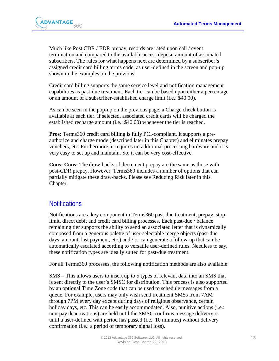

Much like Post CDR / EDR prepay, records are rated upon call / event termination and compared to the available access deposit amount of associated subscribers. The rules for what happens next are determined by a subscriber's assigned credit card billing terms code, as user-defined in the screen and pop-up shown in the examples on the previous.

Credit card billing supports the same service level and notification management capabilities as past-due treatment. Each tier can be based upon either a percentage or an amount of a subscriber-established charge limit (i.e.: \$40.00).

As can be seen in the pop-up on the previous page, a Charge check button is available at each tier. If selected, associated credit cards will be charged the established recharge amount (i.e.: \$40.00) whenever the tier is reached.

**Pros:** Terms360 credit card billing is fully PCI-compliant. It supports a preauthorize and charge mode (described later in this Chapter) and eliminates prepay vouchers, etc. Furthermore, it requires no additional processing hardware and it is very easy to set up and maintain. So, it can be very cost-effective.

**Cons: Cons:** The draw-backs of decrement prepay are the same as those with post-CDR prepay. However, Terms360 includes a number of options that can partially mitigate these draw-backs. Please see Reducing Risk later in this Chapter.

## <span id="page-12-0"></span>**Notifications**

Notifications are a key component in Terms360 past-due treatment, prepay, stoplimit, direct debit and credit card billing processes. Each past-due / balance remaining tier supports the ability to send an associated letter that is dynamically composed from a generous palette of user-selectable merge objects (past-due days, amount, last payment, etc.) and / or can generate a follow-up that can be automatically escalated according to versatile user-defined rules. Needless to say, these notification types are ideally suited for past-due treatment.

For all Terms360 processes, the following notification methods are also available:

SMS – This allows users to insert up to 5 types of relevant data into an SMS that is sent directly to the user's SMSC for distribution. This process is also supported by an optional Time Zone code that can be used to schedule messages from a queue. For example, users may only wish send treatment SMSs from 7AM through 7PM every day except during days of religious observance, certain holiday days, etc. This can be easily accommodated. Also, punitive actions (i.e.: non-pay deactivations) are held until the SMSC confirms message delivery or until a user-defined wait period has passed (i.e.: 10 minutes) without delivery confirmation (i.e.: a period of temporary signal loss).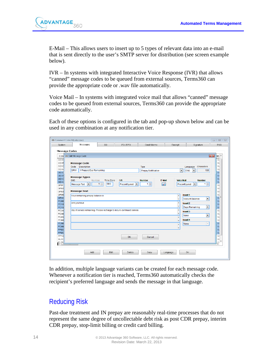

E-Mail – This allows users to insert up to 5 types of relevant data into an e-mail that is sent directly to the user's SMTP server for distribution (see screen example below).

IVR – In systems with integrated Interactive Voice Response (IVR) that allows "canned" message codes to be queued from external sources, Terms360 can provide the appropriate code or .wav file automatically.

Voice Mail – In systems with integrated voice mail that allows "canned" message codes to be queued from external sources, Terms360 can provide the appropriate code automatically.

Each of these options is configured in the tab and pop-up shown below and can be used in any combination at any notification tier.

| System                         | Comment Codes Maintenance<br>Messages                                  | SO.                          | PO/RPO                                    | Credit Memo                | Receipt                     | Signature                                                    | $\Box$<br>$\qquad \qquad \Box$<br>POS   |
|--------------------------------|------------------------------------------------------------------------|------------------------------|-------------------------------------------|----------------------------|-----------------------------|--------------------------------------------------------------|-----------------------------------------|
|                                |                                                                        |                              |                                           |                            |                             |                                                              |                                         |
| <b>Message Codes</b>           |                                                                        |                              |                                           |                            |                             |                                                              |                                         |
| Code                           | <b>C</b> Edit Message Code                                             |                              |                                           |                            |                             |                                                              | $\mathbf{x}$<br>Me -                    |
| ccod                           |                                                                        |                              |                                           |                            |                             |                                                              | Yd                                      |
| ccod                           | <b>Message Code</b>                                                    |                              |                                           |                            |                             |                                                              | Yd                                      |
| cc <sub>1</sub> d              | Code<br>Description                                                    |                              |                                           | Type                       |                             | Characters<br>Language                                       | Yd                                      |
| ccxx<br>DD00                   | DP01<br>1 Prepaid Day Remaining                                        |                              |                                           | <b>Prepay Notification</b> | $\blacktriangledown$        | 133<br><b>ENG</b><br>l v                                     | Yd<br>Yo                                |
| <b>DD05</b>                    |                                                                        |                              |                                           |                            |                             |                                                              | Yd                                      |
| DD <sub>1</sub> d              | <b>Message Types</b>                                                   |                              |                                           |                            |                             |                                                              | Yo                                      |
| <b>DDXX</b>                    | <b>SMS</b><br>Number                                                   | Time Zone                    | <b>IVR</b>                                | <b>Number</b>              | F-Mail<br><b>Voice Mail</b> | <b>Number</b>                                                | Yo                                      |
| DP01                           | <b>Message Text</b><br>$\blacktriangledown$                            | $1\frac{1}{x}$<br><b>SMS</b> | $\overline{\phantom{a}}$<br>Preconfigured | $1 \frac{A}{r}$            | ✓                           | $1 \frac{1}{x}$<br>$\overline{\phantom{a}}$<br>Preconfigured | Yd                                      |
| DP02                           |                                                                        |                              |                                           |                            |                             |                                                              | Yd                                      |
| DP03                           | <b>Message Text</b>                                                    |                              |                                           |                            |                             |                                                              | Yd                                      |
| DP05                           | Your remaining prepay balance is                                       |                              |                                           |                            | $\lambda$                   | Insert 1                                                     | Yd<br>Ξ                                 |
| <b>DPXX</b><br>PD08            |                                                                        |                              |                                           |                            | ٠                           | $\blacktriangledown$<br><b>Account Balance</b>               | Yo<br>Yd                                |
| PD <sub>10</sub>               | and you have                                                           |                              |                                           |                            | $\blacktriangle$            | Insert 2                                                     | Yo                                      |
| PD <sub>15</sub>               |                                                                        |                              |                                           |                            | ٠                           | $\blacktriangledown$<br><b>Days Remaining</b>                | Yd                                      |
| PD24                           | day of service remaining. Please recharge to insure continued service. |                              |                                           |                            | Ä                           | Insert 3                                                     | Yd                                      |
| PD30                           |                                                                        |                              |                                           |                            | ٠                           | $\overline{\phantom{a}}$<br>None                             | Yd                                      |
| PD <sub>45</sub>               |                                                                        |                              |                                           |                            | $\lambda$                   |                                                              | Yd                                      |
| PD <sub>60</sub>               |                                                                        |                              |                                           |                            | $\overline{\phantom{a}}$    | Insert 4                                                     | Yd                                      |
| PD <sub>90</sub>               |                                                                        |                              |                                           |                            | $\overline{\phantom{a}}$    | $\overline{\phantom{a}}$<br>None                             | Yo                                      |
| PD99<br>PP00                   |                                                                        |                              |                                           |                            | $\overline{\phantom{a}}$    |                                                              | Yd<br>Yc                                |
| PP <sub>05</sub>               |                                                                        |                              |                                           |                            |                             |                                                              | Yc                                      |
| PP <sub>10</sub>               |                                                                        |                              | OK                                        | Cancel                     |                             |                                                              | Yd                                      |
| SL <sub>00</sub>               |                                                                        |                              |                                           |                            |                             |                                                              | Yc                                      |
| 0105<br>$\left  \cdot \right $ |                                                                        |                              |                                           |                            |                             |                                                              | $\mathsf{v}_c$ $\overline{\phantom{a}}$ |
|                                |                                                                        |                              |                                           |                            |                             |                                                              |                                         |
|                                |                                                                        |                              |                                           |                            |                             |                                                              |                                         |
|                                | Add                                                                    | Edit                         | Delete                                    | Copy                       | Language                    | OK                                                           |                                         |

In addition, multiple language variants can be created for each message code. Whenever a notification tier is reached, Terms360 automatically checks the recipient's preferred language and sends the message in that language.

## <span id="page-13-0"></span>Reducing Risk

Past-due treatment and IN prepay are reasonably real-time processes that do not represent the same degree of uncollectable debt risk as post CDR prepay, interim CDR prepay, stop-limit billing or credit card billing.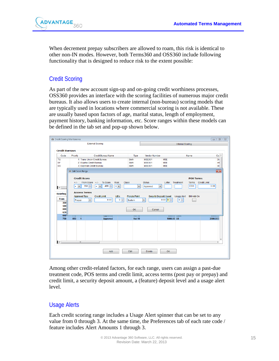

When decrement prepay subscribers are allowed to roam, this risk is identical to other non-IN modes. However, both Terms360 and OSS360 include following functionality that is designed to reduce risk to the extent possible:

## <span id="page-14-0"></span>Credit Scoring

As part of the new account sign-up and on-going credit worthiness processes, OSS360 provides an interface with the scoring facilities of numerous major credit bureaus. It also allows users to create internal (non-bureau) scoring models that are typically used in locations where commercial scoring is not available. These are usually based upon factors of age, marital status, length of employment, payment history, banking information, etc. Score ranges within these models can be defined in the tab set and pop-up shown below.



Among other credit-related factors, for each range, users can assign a past-due treatment code, POS terms and credit limit, access terms (post pay or prepay) and credit limit, a security deposit amount, a (feature) deposit level and a usage alert level.

## <span id="page-14-1"></span>Usage Alerts

Each credit scoring range includes a Usage Alert spinner that can be set to any value from 0 through 3. At the same time, the Preferences tab of each rate code / feature includes Alert Amounts 1 through 3.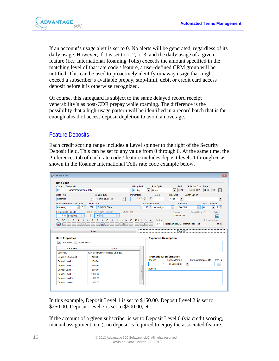

If an account's usage alert is set to 0. No alerts will be generated, regardless of its daily usage. However, if it is set to 1, 2, or 3, and the daily usage of a given feature (i.e.: International Roaming Tolls) exceeds the amount specified in the matching level of that rate code / feature, a user-defined CRM group will be notified. This can be used to proactively identify runaway usage that might exceed a subscriber's available prepay, stop-limit, debit or credit card access deposit before it is otherwise recognized.

Of course, this safeguard is subject to the same delayed record receipt venerability's as post-CDR prepay while roaming. The difference is the possibility that a high-usage pattern will be identified in a record batch that is far enough ahead of access deposit depletion to avoid an overage.

## <span id="page-15-0"></span>Feature Deposits

Each credit scoring range includes a Level spinner to the right of the Security Deposit field. This can be set to any value from 0 through 6. At the same time, the Preferences tab of each rate code / feature includes deposit levels 1 through 6, as shown in the Roamer International Tolls rate code example below.

| <b>Rate Code</b>                                 |                                                                          |                       |                                |                                       |                          |                              |          |                            |
|--------------------------------------------------|--------------------------------------------------------------------------|-----------------------|--------------------------------|---------------------------------------|--------------------------|------------------------------|----------|----------------------------|
| Code<br><b>Description</b>                       |                                                                          | <b>Billing Period</b> | <b>Rate Cycle</b>              |                                       | <b>EMP</b>               | <b>Effective Date / Time</b> |          |                            |
| RIT<br>Roamer International Tolls                |                                                                          | <b>Monthly</b>        | $\blacktriangledown$<br>None   | $\overline{\phantom{a}}$              | <b>ADM</b>               | 07/28/2002                   | 08:28 PM | $\blacktriangledown$       |
| Rate Type                                        | Feature Type                                                             | Percentage            | Parent                         | Free Use                              |                          | Switch Option                |          |                            |
| Roaming                                          | $\overline{\phantom{a}}$<br>Roaming IDD Toll<br>$\overline{\phantom{a}}$ | 0.000                 | of                             | None                                  | $\overline{\phantom{a}}$ |                              |          | $\overline{\phantom{a}}$   |
| Rate Increments / Decimals                       | <b>Time Zone</b>                                                         |                       | <b>Block Increments</b>        |                                       | Rounding                 |                              |          | <b>Type / Decimals</b>     |
| $ 2\rangle$<br>$\blacktriangledown$<br>Minute(s) | 2 Airtime Zone<br>2AZ                                                    |                       | $60 \Rightarrow$<br>Second(s)  | $\blacktriangledown$                  | Per CDR                  | $\blacktriangledown$         | Up       | $2 \div$<br>$\blacksquare$ |
| Free Access Per CDR                              | <b>Promotion Duration</b><br><b>Future Rate</b><br>Revert                |                       |                                | <b>Expires</b>                        |                          | Zone Billing ID              |          | Default                    |
| $0 \Leftrightarrow$<br>Second(s)                 | $\frac{1}{\sqrt{2}}$<br>$\mathbf{0}$                                     |                       |                                |                                       | 06/06/2079               |                              |          | ⊽                          |
| SC <sub>1</sub><br>Tax                           | 13<br>14                                                                 | 15                    | <b>GL Link</b>                 |                                       |                          |                              |          | <b>Reporting Cost</b>      |
|                                                  |                                                                          |                       |                                |                                       |                          |                              |          |                            |
|                                                  |                                                                          |                       | TIP                            | Telephonica IDD / International Tolls |                          |                              |          | 0.00                       |
|                                                  | Rates                                                                    |                       |                                |                                       | <b>Properties</b>        |                              |          |                            |
|                                                  |                                                                          |                       |                                |                                       |                          |                              |          |                            |
| <b>Rate Properties</b>                           |                                                                          |                       | <b>Expanded Description</b>    |                                       |                          |                              |          |                            |
| Properties                                       | <b>Other Data</b>                                                        |                       |                                |                                       |                          |                              |          |                            |
| Parameter                                        | Property                                                                 | $\blacktriangle$      |                                |                                       |                          |                              |          |                            |
| Section ID                                       | Wireless Monthly Itemized Charges                                        |                       |                                |                                       |                          |                              |          |                            |
| <b>Usage Alert Amount</b>                        | 100.00                                                                   |                       | <b>Promotional Information</b> |                                       |                          |                              |          |                            |
| Deposit Level 1                                  | 150.00                                                                   |                       | Savings                        | <b>Savings Period</b>                 |                          | Savings Compared to          |          | Pop-up                     |
| <b>Deposit Level 2</b>                           | 250.00                                                                   |                       |                                | 0.00     Per Second(s)                |                          | $\blacktriangledown$         |          |                            |
| Deposit Level 3                                  | 500.00                                                                   |                       | <b>Benefits</b>                |                                       |                          |                              |          |                            |
| Deposit Level 4                                  | 1000.00                                                                  | н                     |                                |                                       |                          |                              |          |                            |
| Deposit Level 5                                  | 1000.00                                                                  |                       |                                |                                       |                          |                              |          |                            |

In this example, Deposit Level 1 is set to \$150.00. Deposit Level 2 is set to \$250.00, Deposit Level 3 is set to \$500.00, etc.

If the account of a given subscriber is set to Deposit Level 0 (via credit scoring, manual assignment, etc.), no deposit is required to enjoy the associated feature.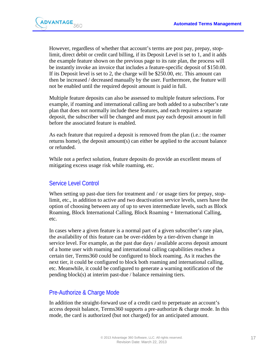

However, regardless of whether that account's terms are post pay, prepay, stoplimit, direct debit or credit card billing, if its Deposit Level is set to 1, and it adds the example feature shown on the previous page to its rate plan, the process will be instantly invoke an invoice that includes a feature-specific deposit of \$150.00. If its Deposit level is set to 2, the charge will be \$250.00, etc. This amount can then be increased / decreased manually by the user. Furthermore, the feature will not be enabled until the required deposit amount is paid in full.

Multiple feature deposits can also be assessed to multiple feature selections. For example, if roaming and international calling are both added to a subscriber's rate plan that does not normally include these features, and each requires a separate deposit, the subscriber will be changed and must pay each deposit amount in full before the associated feature is enabled.

As each feature that required a deposit is removed from the plan (i.e.: the roamer returns home), the deposit amount(s) can either be applied to the account balance or refunded.

While not a perfect solution, feature deposits do provide an excellent means of mitigating excess usage risk while roaming, etc.

#### <span id="page-16-0"></span>Service Level Control

When setting up past-due tiers for treatment and / or usage tiers for prepay, stoplimit, etc., in addition to active and two deactivation service levels, users have the option of choosing between any of up to seven intermediate levels, such as Block Roaming, Block International Calling, Block Roaming + International Calling, etc.

In cases where a given feature is a normal part of a given subscriber's rate plan, the availability of this feature can be over-ridden by a tier-driven change in service level. For example, as the past due days / available access deposit amount of a home user with roaming and international calling capabilities reaches a certain tier, Terms360 could be configured to block roaming. As it reaches the next tier, it could be configured to block both roaming and international calling, etc. Meanwhile, it could be configured to generate a warning notification of the pending block(s) at interim past-due / balance remaining tiers.

#### <span id="page-16-1"></span>Pre-Authorize & Charge Mode

In addition the straight-forward use of a credit card to perpetuate an account's access deposit balance, Terms360 supports a pre-authorize & charge mode. In this mode, the card is authorized (but not charged) for an anticipated amount.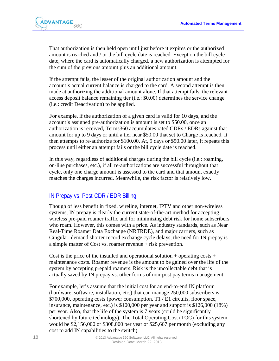

That authorization is then held open until just before it expires or the authorized amount is reached and / or the bill cycle date is reached. Except on the bill cycle date, where the card is automatically charged, a new authorization is attempted for the sum of the previous amount plus an additional amount.

If the attempt fails, the lesser of the original authorization amount and the account's actual current balance is charged to the card. A second attempt is then made at authorizing the additional amount alone. If that attempt fails, the relevant access deposit balance remaining tier (i.e.: \$0.00) determines the service change (i.e.: credit Deactivation) to be applied.

For example, if the authorization of a given card is valid for 10 days, and the account's assigned pre-authorization is amount is set to \$50.00, once an authorization is received, Terms360 accumulates rated CDRs / EDRs against that amount for up to 9 days or until a tier near \$50.00 that set to Charge is reached. It then attempts to re-authorize for \$100.00. At, 9 days or \$50.00 later, it repeats this process until either an attempt fails or the bill cycle date is reached.

In this way, regardless of additional charges during the bill cycle (i.e.: roaming, on-line purchases, etc.), if all re-authorizations are successful throughout that cycle, only one charge amount is assessed to the card and that amount exactly matches the charges incurred. Meanwhile, the risk factor is relatively low.

#### <span id="page-17-0"></span>IN Prepay vs. Post-CDR / EDR Billing

Though of less benefit in fixed, wireline, internet, IPTV and other non-wireless systems, IN prepay is clearly the current state-of-the-art method for accepting wireless pre-paid roamer traffic and for minimizing debt risk for home subscribers who roam. However, this comes with a price. As industry standards, such as Near Real-Time Roamer Data Exchange (NRTRDE), and major carriers, such as Cingular, demand shorter record exchange cycle delays, the need for IN prepay is a simple matter of Cost vs. roamer revenue + risk prevention.

Cost is the price of the installed and operational solution + operating costs + maintenance costs. Roamer revenue is the amount to be gained over the life of the system by accepting prepaid roamers. Risk is the uncollectable debt that is actually saved by IN prepay vs. other forms of non-post pay terms management.

For example, let's assume that the initial cost for an end-to-end IN platform (hardware, software, installation, etc.) that can manage 250,000 subscribers is \$700,000, operating costs (power consumption, T1 / E1 circuits, floor space, insurance, maintenance, etc.) is \$100,000 per year and support is \$126,000 (18%) per year. Also, that the life of the system is 7 years (could be significantly shortened by future technology). The Total Operating Cost (TOC) for this system would be \$2,156,000 or \$308,000 per year or \$25,667 per month (excluding any cost to add IN capabilities to the switch).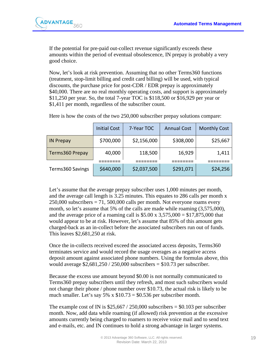

If the potential for pre-paid out-collect revenue significantly exceeds these amounts within the period of eventual obsolescence, IN prepay is probably a very good choice.

Now, let's look at risk prevention. Assuming that no other Terms360 functions (treatment, stop-limit billing and credit card billing) will be used, with typical discounts, the purchase price for post-CDR / EDR prepay is approximately \$40,000. There are no real monthly operating costs, and support is approximately \$11,250 per year. So, the total 7-year TOC is \$118,500 or \$16,929 per year or \$1,411 per month, regardless of the subscriber count.

|                  | <b>Initial Cost</b> | 7-Year TOC  | <b>Annual Cost</b> | <b>Monthly Cost</b> |
|------------------|---------------------|-------------|--------------------|---------------------|
| <b>IN Prepay</b> | \$700,000           | \$2,156,000 | \$308,000          | \$25,667            |
| Terms360 Prepay  | 40,000              | 118,500     | 16,929             | 1,411               |
|                  |                     |             |                    |                     |
| Terms360 Savings | \$640,000           | \$2,037,500 | \$291,071          | \$24,256            |

Here is how the costs of the two 250,000 subscriber prepay solutions compare:

Let's assume that the average prepay subscriber uses 1,000 minutes per month, and the average call length is 3.25 minutes. This equates to 286 calls per month x 250,000 subscribers = 71, 500,000 calls per month. Not everyone roams every month, so let's assume that 5% of the calls are made while roaming  $(3,575,000)$ , and the average price of a roaming call is  $$5.00 \times 3,575,000 = $17,875,000$  that would appear to be at risk. However, let's assume that 85% of this amount gets charged-back as an in-collect before the associated subscribers run out of funds. This leaves \$2,681,250 at risk.

Once the in-collects received exceed the associated access deposits, Terms360 terminates service and would record the usage overages as a negative access deposit amount against associated phone numbers. Using the formulas above, this would average \$2,681,250 / 250,000 subscribers = \$10.73 per subscriber.

Because the excess use amount beyond \$0.00 is not normally communicated to Terms360 prepay subscribers until they refresh, and most such subscribers would not change their phone / phone number over \$10.73, the actual risk is likely to be much smaller. Let's say 5% x \$10.73 = \$0.536 per subscriber month.

The example cost of IN is  $$25,667 / 250,000$  subscribers = \$0.103 per subscriber month. Now, add data while roaming (if allowed) risk prevention at the excessive amounts currently being charged to roamers to receive voice mail and to send text and e-mails, etc. and IN continues to hold a strong advantage in larger systems.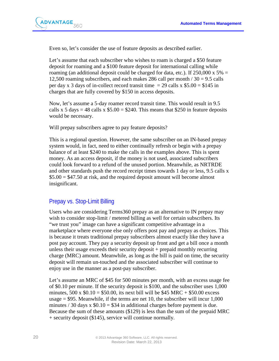

Even so, let's consider the use of feature deposits as described earlier.

Let's assume that each subscriber who wishes to roam is charged a \$50 feature deposit for roaming and a \$100 feature deposit for international calling while roaming (an additional deposit could be charged for data, etc.). If  $250,000 \times 5\% =$ 12,500 roaming subscribers, and each makes 286 call per month  $/ 30 = 9.5$  calls per day x 3 days of in-collect record transit time  $= 29$  calls x \$5.00  $=$  \$145 in charges that are fully covered by \$150 in access deposits.

Now, let's assume a 5-day roamer record transit time. This would result in 9.5 calls x 5 days = 48 calls x  $$5.00 = $240$ . This means that \$250 in feature deposits would be necessary.

Will prepay subscribers agree to pay feature deposits?

This is a regional question. However, the same subscriber on an IN-based prepay system would, in fact, need to either continually refresh or begin with a prepay balance of at least \$240 to make the calls in the examples above. This is spent money. As an access deposit, if the money is not used, associated subscribers could look forward to a refund of the unused portion. Meanwhile, as NRTRDE and other standards push the record receipt times towards 1 day or less, 9.5 calls x  $$5.00 = $47.50$  at risk, and the required deposit amount will become almost insignificant.

#### <span id="page-19-0"></span>Prepay vs. Stop-Limit Billing

Users who are considering Terms360 prepay as an alternative to IN prepay may wish to consider stop-limit / metered billing as well for certain subscribers. Its "we trust you" image can have a significant competitive advantage in a marketplace where everyone else only offers post pay and prepay as choices. This is because it treats traditional prepay subscribers almost exactly like they have a post pay account. They pay a security deposit up front and get a bill once a month unless their usage exceeds their security deposit + prepaid monthly recurring charge (MRC) amount. Meanwhile, as long as the bill is paid on time, the security deposit will remain un-touched and the associated subscriber will continue to enjoy use in the manner as a post-pay subscriber.

Let's assume an MRC of \$45 for 500 minutes per month, with an excess usage fee of \$0.10 per minute. If the security deposit is \$100, and the subscriber uses 1,000 minutes,  $500 \times $0.10 = $50.00$ , its next bill will be \$45 MRC + \$50.00 excess usage  $= $95$ . Meanwhile, if the terms are net 10, the subscriber will incur 1,000 minutes / 30 days x  $$0.10 = $34$  in additional charges before payment is due. Because the sum of these amounts (\$129) is less than the sum of the prepaid MRC + security deposit (\$145), service will continue normally.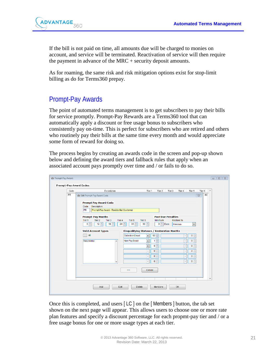

If the bill is not paid on time, all amounts due will be charged to monies on account, and service will be terminated. Reactivation of service will then require the payment in advance of the MRC + security deposit amounts.

As for roaming, the same risk and risk mitigation options exist for stop-limit billing as do for Terms360 prepay.

# <span id="page-20-0"></span>Prompt-Pay Awards

The point of automated terms management is to get subscribers to pay their bills for service promptly. Prompt-Pay Rewards are a Terms360 tool that can automatically apply a discount or free usage bonus to subscribers who consistently pay on-time. This is perfect for subscribers who are retired and others who routinely pay their bills at the same time every month and would appreciate some form of reward for doing so.

The process begins by creating an awards code in the screen and pop-up shown below and defining the award tiers and fallback rules that apply when an associated account pays promptly over time and / or fails to do so.

| Code | Tier 2<br>Tier 6<br>Description<br>Tier 1<br>Tier 3<br>Tier 4<br>Tier 5                                                                                                                                                                                                                                                                                                                                                                                                                                                                                                                                                                                                                                                                                                                                                                                                                                 |
|------|---------------------------------------------------------------------------------------------------------------------------------------------------------------------------------------------------------------------------------------------------------------------------------------------------------------------------------------------------------------------------------------------------------------------------------------------------------------------------------------------------------------------------------------------------------------------------------------------------------------------------------------------------------------------------------------------------------------------------------------------------------------------------------------------------------------------------------------------------------------------------------------------------------|
| PR   | 60<br>Edit Prompt-Pay Award Code<br>$\Sigma$<br><b>Prompt Pay Award Code</b><br>Description<br>Code<br><b>PR</b><br>Prompt-Pay Award - Residential Customer<br><b>Past Due Penalties</b><br><b>Prompt-Pay Months</b><br>Tier <sub>2</sub><br><b>Restore To</b><br>Tier <sub>1</sub><br>Tier 3<br>Tier <sub>4</sub><br>Tier 5<br>Tier <sub>6</sub><br>Minimum<br>$12 \div$<br>$3 \div$ Days<br>후<br>$18 -$<br>$24 \div$<br>$36 \frac{4}{7}$<br>$60 \frac{4}{x}$<br>6<br>$\blacktriangledown$<br>Previous<br><b>Disqualifying Statuses / Restoration Months</b><br><b>Valid Account Types</b><br>All<br>$12 \frac{4}{7}$<br>$0 \frac{1}{x}$<br><b>Collection Deact</b><br>$\blacksquare$<br>$\mathbf{v}$<br>츷<br>$0 \frac{1}{x}$<br>Non-Pay Deact<br>$\bar{\phantom{a}}$<br>Residential<br>1<br>$\forall$<br>$\blacktriangle$<br>$0 \Rightarrow$<br>$0\frac{1}{v}$<br>$\bar{\phantom{a}}$<br>$\mathbf{v}$ |
|      | $0\frac{1}{x}$<br>$0\frac{1}{x}$<br>$\bar{\psi}$<br>$\bar{\psi}$<br>$0\frac{1}{x}$<br>$0\frac{1}{x}$<br>$\bar{\psi}$<br>$\bar{\psi}$<br>$0\frac{1}{x}$<br>$0\frac{1}{x}$<br>$\bar{\psi}$<br>$\overline{\phantom{a}}$<br>$\overline{\phantom{a}}$<br>OK<br>Cancel                                                                                                                                                                                                                                                                                                                                                                                                                                                                                                                                                                                                                                        |

Once this is completed, and users [ LC ] on the [ Members ] button, the tab set shown on the next page will appear. This allows users to choose one or more rate plan features and specify a discount percentage for each propmt-pay tier and / or a free usage bonus for one or more usage types at each tier.